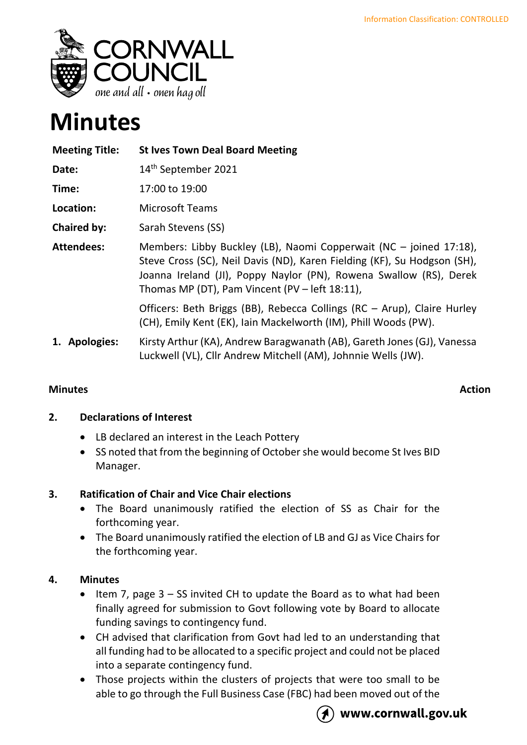

# **Minutes**

| <b>Meeting Title:</b> | <b>St Ives Town Deal Board Meeting</b>                                                                                                                                                                                                                                 |
|-----------------------|------------------------------------------------------------------------------------------------------------------------------------------------------------------------------------------------------------------------------------------------------------------------|
| Date:                 | 14 <sup>th</sup> September 2021                                                                                                                                                                                                                                        |
| Time:                 | 17:00 to 19:00                                                                                                                                                                                                                                                         |
| Location:             | <b>Microsoft Teams</b>                                                                                                                                                                                                                                                 |
| <b>Chaired by:</b>    | Sarah Stevens (SS)                                                                                                                                                                                                                                                     |
| <b>Attendees:</b>     | Members: Libby Buckley (LB), Naomi Copperwait (NC – joined 17:18),<br>Steve Cross (SC), Neil Davis (ND), Karen Fielding (KF), Su Hodgson (SH),<br>Joanna Ireland (JI), Poppy Naylor (PN), Rowena Swallow (RS), Derek<br>Thomas MP (DT), Pam Vincent (PV - left 18:11), |
|                       | Officers: Beth Briggs (BB), Rebecca Collings (RC - Arup), Claire Hurley<br>(CH), Emily Kent (EK), Iain Mackelworth (IM), Phill Woods (PW).                                                                                                                             |
| 1. Apologies:         | Kirsty Arthur (KA), Andrew Baragwanath (AB), Gareth Jones (GJ), Vanessa<br>Luckwell (VL), Cllr Andrew Mitchell (AM), Johnnie Wells (JW).                                                                                                                               |

# **Minutes** Action

# **2. Declarations of Interest**

- LB declared an interest in the Leach Pottery
- SS noted that from the beginning of October she would become St Ives BID Manager.

# **3. Ratification of Chair and Vice Chair elections**

- The Board unanimously ratified the election of SS as Chair for the forthcoming year.
- The Board unanimously ratified the election of LB and GJ as Vice Chairs for the forthcoming year.

# **4. Minutes**

- Item 7, page 3 SS invited CH to update the Board as to what had been finally agreed for submission to Govt following vote by Board to allocate funding savings to contingency fund.
- CH advised that clarification from Govt had led to an understanding that all funding had to be allocated to a specific project and could not be placed into a separate contingency fund.
- Those projects within the clusters of projects that were too small to be able to go through the Full Business Case (FBC) had been moved out of the



## www.cornwall.gov.uk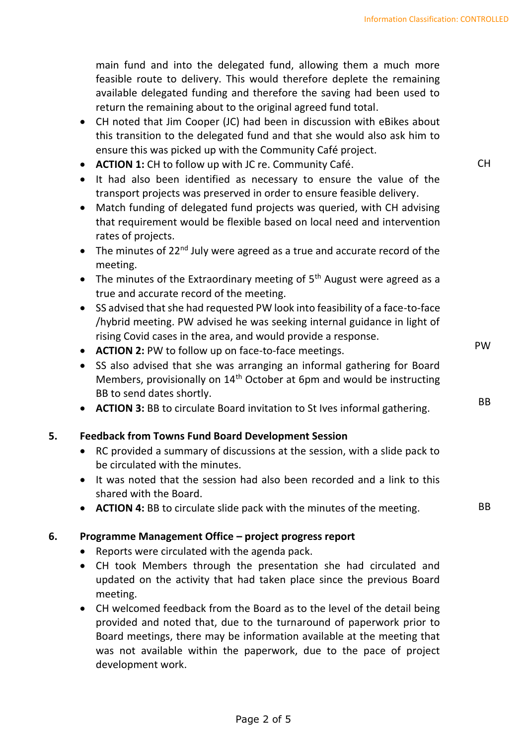main fund and into the delegated fund, allowing them a much more feasible route to delivery. This would therefore deplete the remaining available delegated funding and therefore the saving had been used to return the remaining about to the original agreed fund total.

- CH noted that Jim Cooper (JC) had been in discussion with eBikes about this transition to the delegated fund and that she would also ask him to ensure this was picked up with the Community Café project.
- **ACTION 1:** CH to follow up with JC re. Community Café.
- It had also been identified as necessary to ensure the value of the transport projects was preserved in order to ensure feasible delivery.
- Match funding of delegated fund projects was queried, with CH advising that requirement would be flexible based on local need and intervention rates of projects.
- The minutes of 22 $^{nd}$  July were agreed as a true and accurate record of the meeting.
- The minutes of the Extraordinary meeting of  $5<sup>th</sup>$  August were agreed as a true and accurate record of the meeting.
- SS advised that she had requested PW look into feasibility of a face-to-face /hybrid meeting. PW advised he was seeking internal guidance in light of rising Covid cases in the area, and would provide a response.
- **ACTION 2:** PW to follow up on face-to-face meetings.
- SS also advised that she was arranging an informal gathering for Board Members, provisionally on 14th October at 6pm and would be instructing BB to send dates shortly.
- **ACTION 3:** BB to circulate Board invitation to St Ives informal gathering.

## **5. Feedback from Towns Fund Board Development Session**

- RC provided a summary of discussions at the session, with a slide pack to be circulated with the minutes.
- It was noted that the session had also been recorded and a link to this shared with the Board.
- **ACTION 4:** BB to circulate slide pack with the minutes of the meeting. BB

#### **6. Programme Management Office – project progress report**

- Reports were circulated with the agenda pack.
- CH took Members through the presentation she had circulated and updated on the activity that had taken place since the previous Board meeting.
- CH welcomed feedback from the Board as to the level of the detail being provided and noted that, due to the turnaround of paperwork prior to Board meetings, there may be information available at the meeting that was not available within the paperwork, due to the pace of project development work.

PW

BB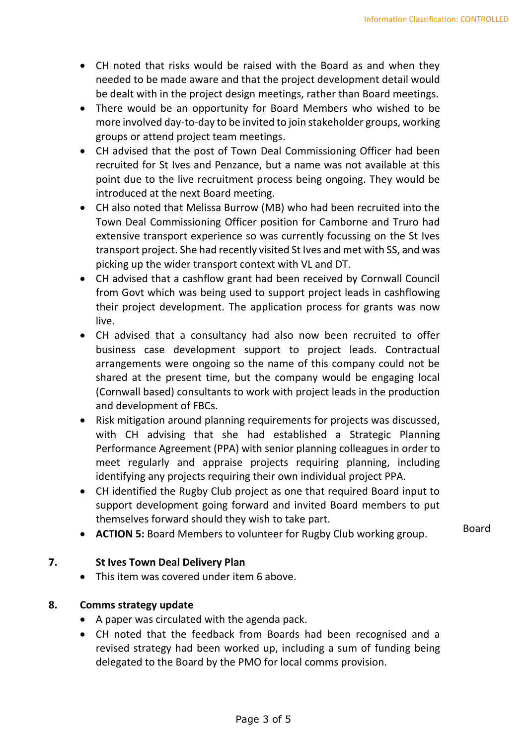- CH noted that risks would be raised with the Board as and when they needed to be made aware and that the project development detail would be dealt with in the project design meetings, rather than Board meetings.
- There would be an opportunity for Board Members who wished to be more involved day-to-day to be invited to join stakeholder groups, working groups or attend project team meetings.
- CH advised that the post of Town Deal Commissioning Officer had been recruited for St Ives and Penzance, but a name was not available at this point due to the live recruitment process being ongoing. They would be introduced at the next Board meeting.
- CH also noted that Melissa Burrow (MB) who had been recruited into the Town Deal Commissioning Officer position for Camborne and Truro had extensive transport experience so was currently focussing on the St Ives transport project. She had recently visited St Ives and met with SS, and was picking up the wider transport context with VL and DT.
- CH advised that a cashflow grant had been received by Cornwall Council from Govt which was being used to support project leads in cashflowing their project development. The application process for grants was now live.
- CH advised that a consultancy had also now been recruited to offer business case development support to project leads. Contractual arrangements were ongoing so the name of this company could not be shared at the present time, but the company would be engaging local (Cornwall based) consultants to work with project leads in the production and development of FBCs.
- Risk mitigation around planning requirements for projects was discussed, with CH advising that she had established a Strategic Planning Performance Agreement (PPA) with senior planning colleagues in order to meet regularly and appraise projects requiring planning, including identifying any projects requiring their own individual project PPA.
- CH identified the Rugby Club project as one that required Board input to support development going forward and invited Board members to put themselves forward should they wish to take part.
- **ACTION 5:** Board Members to volunteer for Rugby Club working group. Board

## **7. St Ives Town Deal Delivery Plan**

• This item was covered under item 6 above.

#### **8. Comms strategy update**

- A paper was circulated with the agenda pack.
- CH noted that the feedback from Boards had been recognised and a revised strategy had been worked up, including a sum of funding being delegated to the Board by the PMO for local comms provision.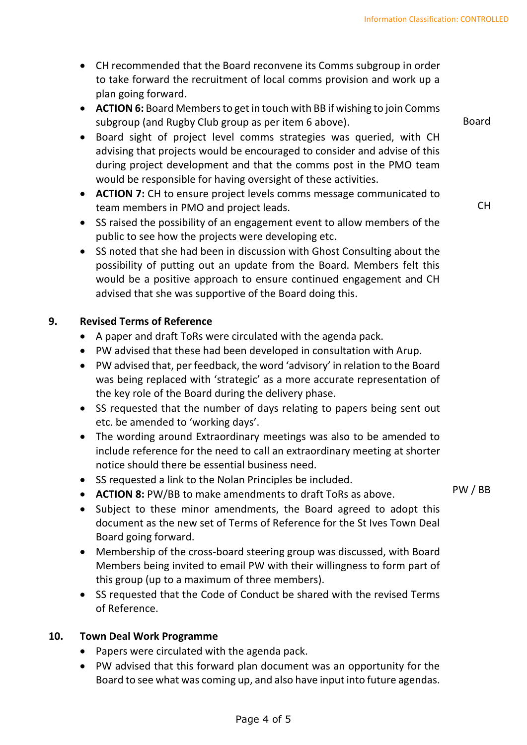- CH recommended that the Board reconvene its Comms subgroup in order to take forward the recruitment of local comms provision and work up a plan going forward.
- **ACTION 6:** Board Members to get in touch with BB if wishing to join Comms subgroup (and Rugby Club group as per item 6 above).
- Board sight of project level comms strategies was queried, with CH advising that projects would be encouraged to consider and advise of this during project development and that the comms post in the PMO team would be responsible for having oversight of these activities.
- **ACTION 7:** CH to ensure project levels comms message communicated to team members in PMO and project leads.
- SS raised the possibility of an engagement event to allow members of the public to see how the projects were developing etc.
- SS noted that she had been in discussion with Ghost Consulting about the possibility of putting out an update from the Board. Members felt this would be a positive approach to ensure continued engagement and CH advised that she was supportive of the Board doing this.

## **9. Revised Terms of Reference**

- A paper and draft ToRs were circulated with the agenda pack.
- PW advised that these had been developed in consultation with Arup.
- PW advised that, per feedback, the word 'advisory' in relation to the Board was being replaced with 'strategic' as a more accurate representation of the key role of the Board during the delivery phase.
- SS requested that the number of days relating to papers being sent out etc. be amended to 'working days'.
- The wording around Extraordinary meetings was also to be amended to include reference for the need to call an extraordinary meeting at shorter notice should there be essential business need.
- SS requested a link to the Nolan Principles be included.
- **ACTION 8:** PW/BB to make amendments to draft ToRs as above.
- Subject to these minor amendments, the Board agreed to adopt this document as the new set of Terms of Reference for the St Ives Town Deal Board going forward.
- Membership of the cross-board steering group was discussed, with Board Members being invited to email PW with their willingness to form part of this group (up to a maximum of three members).
- SS requested that the Code of Conduct be shared with the revised Terms of Reference.

## **10. Town Deal Work Programme**

- Papers were circulated with the agenda pack.
- PW advised that this forward plan document was an opportunity for the Board to see what was coming up, and also have input into future agendas.

Board

CH

PW / BB